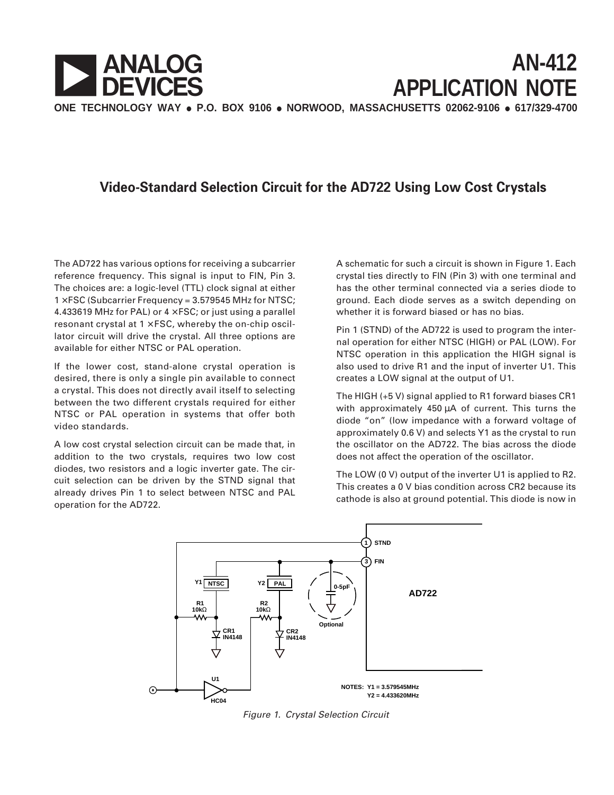

## **Video-Standard Selection Circuit for the AD722 Using Low Cost Crystals**

The AD722 has various options for receiving a subcarrier reference frequency. This signal is input to FIN, Pin 3. The choices are: a logic-level (TTL) clock signal at either  $1 \times FSC$  (Subcarrier Frequency = 3.579545 MHz for NTSC; 4.433619 MHz for PAL) or  $4 \times FSC$ ; or just using a parallel resonant crystal at  $1 \times FSC$ , whereby the on-chip oscillator circuit will drive the crystal. All three options are available for either NTSC or PAL operation.

If the lower cost, stand-alone crystal operation is desired, there is only a single pin available to connect a crystal. This does not directly avail itself to selecting between the two different crystals required for either NTSC or PAL operation in systems that offer both video standards.

A low cost crystal selection circuit can be made that, in addition to the two crystals, requires two low cost diodes, two resistors and a logic inverter gate. The circuit selection can be driven by the STND signal that already drives Pin 1 to select between NTSC and PAL operation for the AD722.

A schematic for such a circuit is shown in Figure 1. Each crystal ties directly to FIN (Pin 3) with one terminal and has the other terminal connected via a series diode to ground. Each diode serves as a switch depending on whether it is forward biased or has no bias.

Pin 1 (STND) of the AD722 is used to program the internal operation for either NTSC (HIGH) or PAL (LOW). For NTSC operation in this application the HIGH signal is also used to drive R1 and the input of inverter U1. This creates a LOW signal at the output of U1.

The HIGH (+5 V) signal applied to R1 forward biases CR1 with approximately 450 µA of current. This turns the diode "on" (low impedance with a forward voltage of approximately 0.6 V) and selects Y1 as the crystal to run the oscillator on the AD722. The bias across the diode does not affect the operation of the oscillator.

The LOW (0 V) output of the inverter U1 is applied to R2. This creates a 0 V bias condition across CR2 because its cathode is also at ground potential. This diode is now in



Figure 1. Crystal Selection Circuit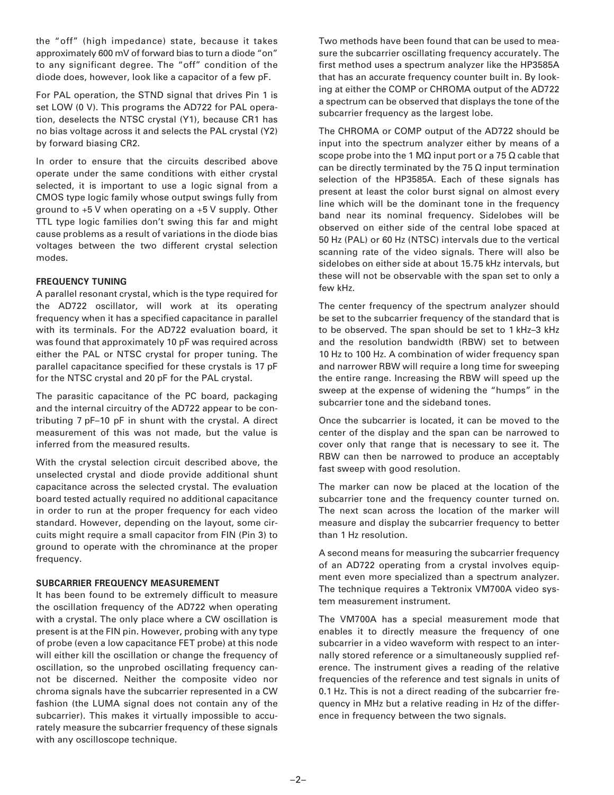the "off" (high impedance) state, because it takes approximately 600 mV of forward bias to turn a diode "on" to any significant degree. The "off" condition of the diode does, however, look like a capacitor of a few pF.

For PAL operation, the STND signal that drives Pin 1 is set LOW (0 V). This programs the AD722 for PAL operation, deselects the NTSC crystal (Y1), because CR1 has no bias voltage across it and selects the PAL crystal (Y2) by forward biasing CR2.

In order to ensure that the circuits described above operate under the same conditions with either crystal selected, it is important to use a logic signal from a CMOS type logic family whose output swings fully from ground to +5 V when operating on a +5 V supply. Other TTL type logic families don't swing this far and might cause problems as a result of variations in the diode bias voltages between the two different crystal selection modes.

## **FREQUENCY TUNING**

A parallel resonant crystal, which is the type required for the AD722 oscillator, will work at its operating frequency when it has a specified capacitance in parallel with its terminals. For the AD722 evaluation board, it was found that approximately 10 pF was required across either the PAL or NTSC crystal for proper tuning. The parallel capacitance specified for these crystals is 17 pF for the NTSC crystal and 20 pF for the PAL crystal.

The parasitic capacitance of the PC board, packaging and the internal circuitry of the AD722 appear to be contributing 7 pF–10 pF in shunt with the crystal. A direct measurement of this was not made, but the value is inferred from the measured results.

With the crystal selection circuit described above, the unselected crystal and diode provide additional shunt capacitance across the selected crystal. The evaluation board tested actually required no additional capacitance in order to run at the proper frequency for each video standard. However, depending on the layout, some circuits might require a small capacitor from FIN (Pin 3) to ground to operate with the chrominance at the proper frequency.

## **SUBCARRIER FREQUENCY MEASUREMENT**

It has been found to be extremely difficult to measure the oscillation frequency of the AD722 when operating with a crystal. The only place where a CW oscillation is present is at the FIN pin. However, probing with any type of probe (even a low capacitance FET probe) at this node will either kill the oscillation or change the frequency of oscillation, so the unprobed oscillating frequency cannot be discerned. Neither the composite video nor chroma signals have the subcarrier represented in a CW fashion (the LUMA signal does not contain any of the subcarrier). This makes it virtually impossible to accurately measure the subcarrier frequency of these signals with any oscilloscope technique.

Two methods have been found that can be used to measure the subcarrier oscillating frequency accurately. The first method uses a spectrum analyzer like the HP3585A that has an accurate frequency counter built in. By looking at either the COMP or CHROMA output of the AD722 a spectrum can be observed that displays the tone of the subcarrier frequency as the largest lobe.

The CHROMA or COMP output of the AD722 should be input into the spectrum analyzer either by means of a scope probe into the 1 M $\Omega$  input port or a 75  $\Omega$  cable that can be directly terminated by the 75  $\Omega$  input termination selection of the HP3585A. Each of these signals has present at least the color burst signal on almost every line which will be the dominant tone in the frequency band near its nominal frequency. Sidelobes will be observed on either side of the central lobe spaced at 50 Hz (PAL) or 60 Hz (NTSC) intervals due to the vertical scanning rate of the video signals. There will also be sidelobes on either side at about 15.75 kHz intervals, but these will not be observable with the span set to only a few kHz.

The center frequency of the spectrum analyzer should be set to the subcarrier frequency of the standard that is to be observed. The span should be set to 1 kHz–3 kHz and the resolution bandwidth (RBW) set to between 10 Hz to 100 Hz. A combination of wider frequency span and narrower RBW will require a long time for sweeping the entire range. Increasing the RBW will speed up the sweep at the expense of widening the "humps" in the subcarrier tone and the sideband tones.

Once the subcarrier is located, it can be moved to the center of the display and the span can be narrowed to cover only that range that is necessary to see it. The RBW can then be narrowed to produce an acceptably fast sweep with good resolution.

The marker can now be placed at the location of the subcarrier tone and the frequency counter turned on. The next scan across the location of the marker will measure and display the subcarrier frequency to better than 1 Hz resolution.

A second means for measuring the subcarrier frequency of an AD722 operating from a crystal involves equipment even more specialized than a spectrum analyzer. The technique requires a Tektronix VM700A video system measurement instrument.

The VM700A has a special measurement mode that enables it to directly measure the frequency of one subcarrier in a video waveform with respect to an internally stored reference or a simultaneously supplied reference. The instrument gives a reading of the relative frequencies of the reference and test signals in units of 0.1 Hz. This is not a direct reading of the subcarrier frequency in MHz but a relative reading in Hz of the difference in frequency between the two signals.